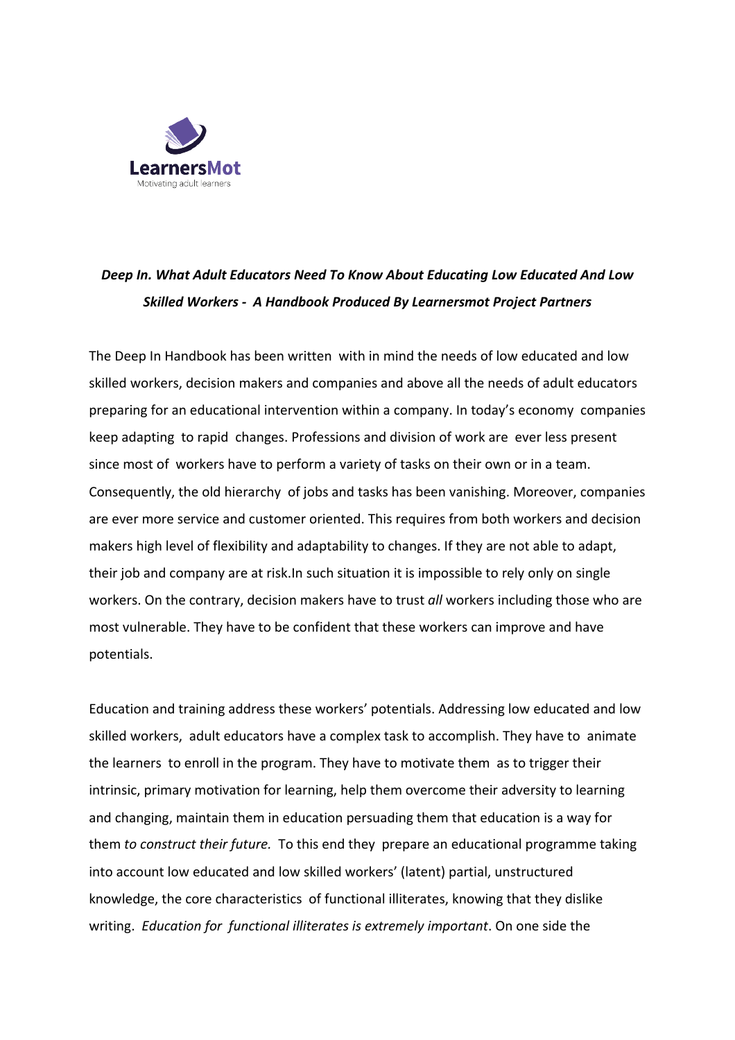

## *Deep In. What Adult Educators Need To Know About Educating Low Educated And Low Skilled Workers - A Handbook Produced By Learnersmot Project Partners*

The Deep In Handbook has been written with in mind the needs of low educated and low skilled workers, decision makers and companies and above all the needs of adult educators preparing for an educational intervention within a company. In today's economy companies keep adapting to rapid changes. Professions and division of work are ever less present since most of workers have to perform a variety of tasks on their own or in a team. Consequently, the old hierarchy of jobs and tasks has been vanishing. Moreover, companies are ever more service and customer oriented. This requires from both workers and decision makers high level of flexibility and adaptability to changes. If they are not able to adapt, their job and company are at risk.In such situation it is impossible to rely only on single workers. On the contrary, decision makers have to trust *all* workers including those who are most vulnerable. They have to be confident that these workers can improve and have potentials.

Education and training address these workers' potentials. Addressing low educated and low skilled workers, adult educators have a complex task to accomplish. They have to animate the learners to enroll in the program. They have to motivate them as to trigger their intrinsic, primary motivation for learning, help them overcome their adversity to learning and changing, maintain them in education persuading them that education is a way for them *to construct their future.* To this end they prepare an educational programme taking into account low educated and low skilled workers' (latent) partial, unstructured knowledge, the core characteristics of functional illiterates, knowing that they dislike writing. *Education for functional illiterates is extremely important*. On one side the